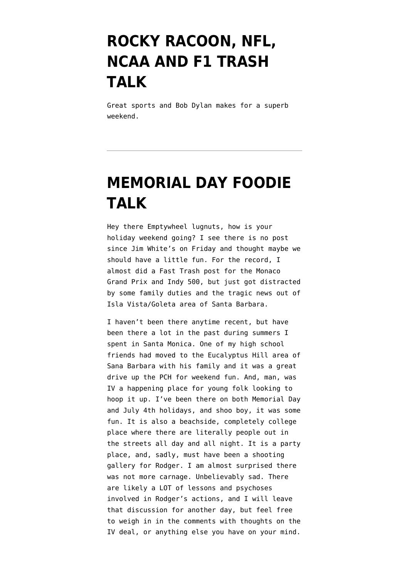## **[ROCKY RACOON, NFL,](https://www.emptywheel.net/2021/10/09/rocky-racoon-nfl-ncaa-and-f1-trash-talk/) [NCAA AND F1 TRASH](https://www.emptywheel.net/2021/10/09/rocky-racoon-nfl-ncaa-and-f1-trash-talk/) [TALK](https://www.emptywheel.net/2021/10/09/rocky-racoon-nfl-ncaa-and-f1-trash-talk/)**

Great sports and Bob Dylan makes for a superb weekend.

## **[MEMORIAL DAY FOODIE](https://www.emptywheel.net/2014/05/25/memorial-day-foodie-talk/) [TALK](https://www.emptywheel.net/2014/05/25/memorial-day-foodie-talk/)**

Hey there Emptywheel lugnuts, how is your holiday weekend going? I see there is no post since Jim White's on Friday and thought maybe we should have a little fun. For the record, I almost did a Fast Trash post for the Monaco Grand Prix and Indy 500, but just got distracted by some family duties and the tragic news out of Isla Vista/Goleta area of Santa Barbara.

I haven't been there anytime recent, but have been there a lot in the past during summers I spent in Santa Monica. One of my high school friends had moved to the Eucalyptus Hill area of Sana Barbara with his family and it was a great drive up the PCH for weekend fun. And, man, was IV a happening place for young folk looking to hoop it up. I've been there on both Memorial Day and July 4th holidays, and shoo boy, it was some fun. It is also a beachside, completely college place where there are literally people out in the streets all day and all night. It is a party place, and, sadly, must have been a shooting gallery for Rodger. I am almost surprised there was not more carnage. Unbelievably sad. There are likely a LOT of lessons and psychoses involved in Rodger's actions, and I will leave that discussion for another day, but feel free to weigh in in the comments with thoughts on the IV deal, or anything else you have on your mind.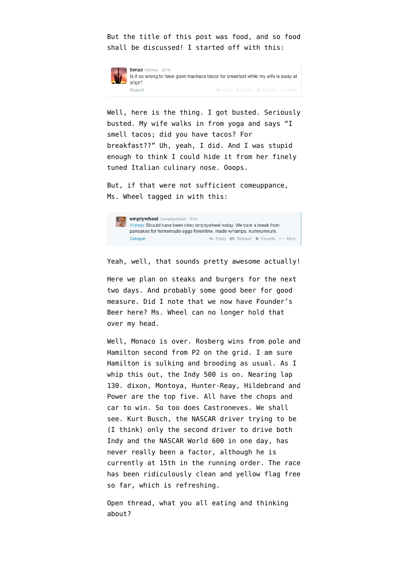But the title of this post was food, and so food shall be discussed! I started off with this:



**bmaz** @bmaz · 47m Is it so wrong to have giant machaca tacos for breakfast while my wife is away at voga? Expand ← Reply *i* Delete \* Favorite ••• More

Well, here is the thing. I got busted. Seriously busted. My wife walks in from yoga and says "I smell tacos; did you have tacos? For breakfast??" Uh, yeah, I did. And I was stupid enough to think I could hide it from her finely tuned Italian culinary nose. Ooops.

But, if that were not sufficient comeuppance, Ms. Wheel tagged in with this:



Yeah, well, that sounds pretty awesome actually!

Here we plan on steaks and burgers for the next two days. And probably some good beer for good measure. Did I note that we now have Founder's Beer here? Ms. Wheel can no longer hold that over my head.

Well, Monaco is over. Rosberg wins from pole and Hamilton second from P2 on the grid. I am sure Hamilton is sulking and brooding as usual. As I whip this out, the Indy 500 is on. Nearing lap 130. dixon, Montoya, Hunter-Reay, Hildebrand and Power are the top five. All have the chops and car to win. So too does Castroneves. We shall see. Kurt Busch, the NASCAR driver trying to be (I think) only the second driver to drive both Indy and the NASCAR World 600 in one day, has never really been a factor, although he is currently at 15th in the running order. The race has been ridiculously clean and yellow flag free so far, which is refreshing.

Open thread, what you all eating and thinking about?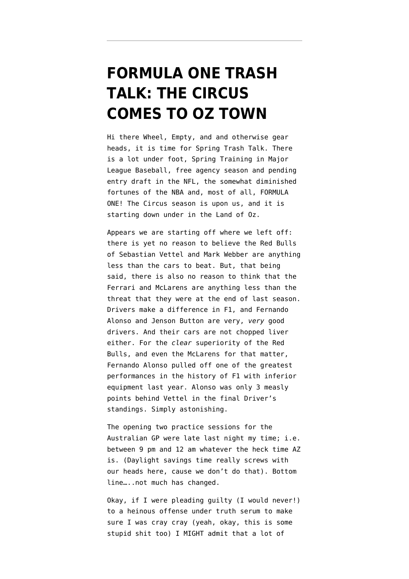#### **[FORMULA ONE TRASH](https://www.emptywheel.net/2013/03/15/formula-one-trash-talk-the-circus-comes-to-oz-town/) [TALK: THE CIRCUS](https://www.emptywheel.net/2013/03/15/formula-one-trash-talk-the-circus-comes-to-oz-town/) [COMES TO OZ TOWN](https://www.emptywheel.net/2013/03/15/formula-one-trash-talk-the-circus-comes-to-oz-town/)**

Hi there Wheel, Empty, and and otherwise gear heads, it is time for Spring Trash Talk. There is a lot under foot, Spring Training in Major League Baseball, free agency season and pending entry draft in the NFL, the somewhat diminished fortunes of the NBA and, most of all, FORMULA ONE! The Circus season is upon us, and it is starting down under in the Land of Oz.

Appears we are starting off where we left off: there is yet no reason to believe the Red Bulls of Sebastian Vettel and Mark Webber are anything less than the cars to beat. But, that being said, there is also no reason to think that the Ferrari and McLarens are anything less than the threat that they were at the end of last season. Drivers make a difference in F1, and Fernando Alonso and Jenson Button are very, *very* good drivers. And their cars are not chopped liver either. For the *clear* superiority of the Red Bulls, and even the McLarens for that matter, Fernando Alonso pulled off one of the greatest performances in the history of F1 with inferior equipment last year. Alonso was only 3 measly points behind Vettel in the final Driver's standings. Simply astonishing.

The opening two practice sessions for the Australian GP were late last night my time; i.e. between 9 pm and 12 am whatever the heck time AZ is. (Daylight savings time really screws with our heads here, cause we don't do that). Bottom line…..not much has changed.

Okay, if I were pleading guilty (I would never!) to a heinous offense under truth serum to make sure I was cray cray (yeah, okay, this is some stupid shit too) I MIGHT admit that a lot of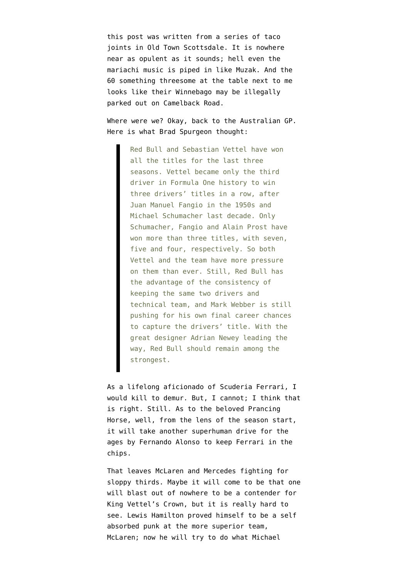this post was written from a series of taco joints in Old Town Scottsdale. It is nowhere near as opulent as it sounds; hell even the mariachi music is piped in like Muzak. And the 60 something threesome at the table next to me looks like their Winnebago may be illegally parked out on Camelback Road.

Where were we? Okay, back to the Australian GP. Here is what Brad Spurgeon thought:

> Red Bull and Sebastian Vettel have won all the titles for the last three seasons. Vettel became only the third driver in Formula One history to win three drivers' titles in a row, after Juan Manuel Fangio in the 1950s and Michael Schumacher last decade. Only Schumacher, Fangio and Alain Prost have won more than three titles, with seven, five and four, respectively. So both Vettel and the team have more pressure on them than ever. Still, Red Bull has the advantage of the consistency of keeping the same two drivers and technical team, and Mark Webber is still pushing for his own final career chances to capture the drivers' title. With the great designer Adrian Newey leading the way, Red Bull should remain among the strongest.

As a lifelong aficionado of Scuderia Ferrari, I would kill to demur. But, I cannot; I think that is right. Still. As to the beloved Prancing Horse, well, from the lens of the season start, it will take another superhuman drive for the ages by Fernando Alonso to keep Ferrari in the chips.

That leaves McLaren and Mercedes fighting for sloppy thirds. Maybe it will come to be that one will blast out of nowhere to be a contender for King Vettel's Crown, but it is really hard to see. Lewis Hamilton proved himself to be a self absorbed punk at the more superior team, McLaren; now he will try to do what Michael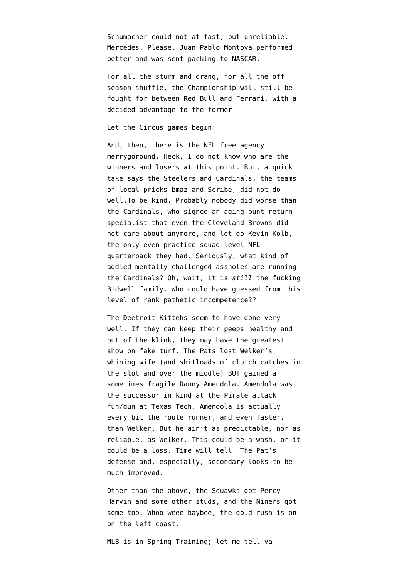Schumacher could not at fast, but unreliable, Mercedes. Please. Juan Pablo Montoya performed better and was sent packing to NASCAR.

For all the sturm and drang, for all the off season shuffle, the Championship will still be fought for between Red Bull and Ferrari, with a decided advantage to the former.

Let the Circus games begin!

And, then, there is the NFL free agency merrygoround. Heck, I do not know who are the winners and losers at this point. But, a quick take says the Steelers and Cardinals, the teams of local pricks bmaz and Scribe, did not do well.To be kind. Probably nobody did worse than the Cardinals, who signed an aging punt return specialist that even the Cleveland Browns did not care about anymore, and let go Kevin Kolb, the only even practice squad level NFL quarterback they had. Seriously, what kind of addled mentally challenged assholes are running the Cardinals? Oh, wait, it is *still* the fucking Bidwell family. Who could have guessed from this level of rank pathetic incompetence??

The Deetroit Kittehs seem to have done very well. If they can keep their peeps healthy and out of the klink, they may have the greatest show on fake turf. The Pats lost Welker's whining wife (and shitloads of clutch catches in the slot and over the middle) BUT gained a sometimes fragile Danny Amendola. Amendola was the successor in kind at the Pirate attack fun/gun at Texas Tech. Amendola is actually every bit the route runner, and even faster, than Welker. But he ain't as predictable, nor as reliable, as Welker. This could be a wash, or it could be a loss. Time will tell. The Pat's defense and, especially, secondary looks to be much improved.

Other than the above, the Squawks got Percy Harvin and some other studs, and the Niners got some too. Whoo weee baybee, the gold rush is on on the left coast.

MLB is in Spring Training; let me tell ya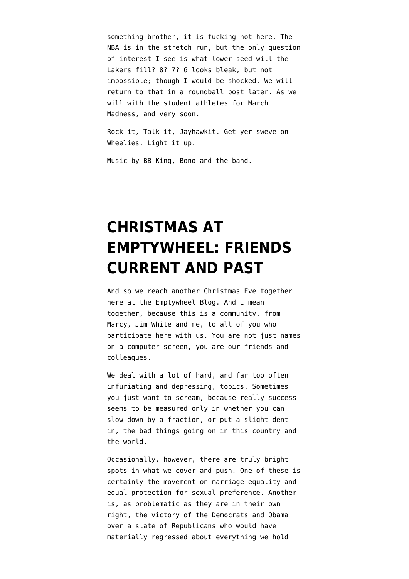something brother, it is fucking hot here. The NBA is in the stretch run, but the only question of interest I see is what lower seed will the Lakers fill? 8? 7? 6 looks bleak, but not impossible; though I would be shocked. We will return to that in a roundball post later. As we will with the student athletes for March Madness, and very soon.

Rock it, Talk it, Jayhawkit. Get yer sweve on Wheelies. Light it up.

Music by BB King, Bono and the band.

# **[CHRISTMAS AT](https://www.emptywheel.net/2012/12/24/christmas-eve-at-emptywheel-friends-current-and-past/) [EMPTYWHEEL: FRIENDS](https://www.emptywheel.net/2012/12/24/christmas-eve-at-emptywheel-friends-current-and-past/) [CURRENT AND PAST](https://www.emptywheel.net/2012/12/24/christmas-eve-at-emptywheel-friends-current-and-past/)**

And so we reach another Christmas Eve together here at the Emptywheel Blog. And I mean together, because this is a community, from Marcy, Jim White and me, to all of you who participate here with us. You are not just names on a computer screen, you are our friends and colleagues.

We deal with a lot of hard, and far too often infuriating and depressing, topics. Sometimes you just want to scream, because really success seems to be measured only in whether you can slow down by a fraction, or put a slight dent in, the bad things going on in this country and the world.

Occasionally, however, there are truly bright spots in what we cover and push. One of these is certainly the movement on marriage equality and equal protection for sexual preference. Another is, as problematic as they are in their own right, the victory of the Democrats and Obama over a slate of Republicans who would have materially regressed about everything we hold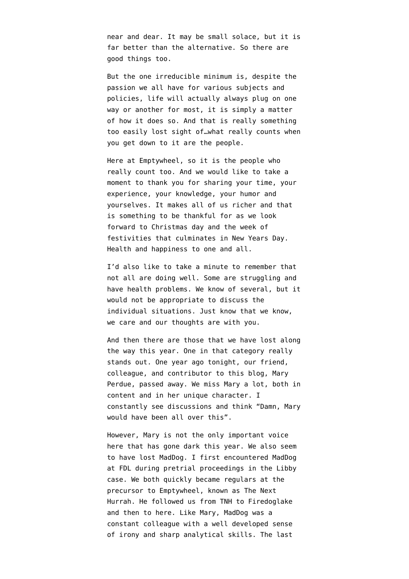near and dear. It may be small solace, but it is far better than the alternative. So there are good things too.

But the one irreducible minimum is, despite the passion we all have for various subjects and policies, life will actually always plug on one way or another for most, it is simply a matter of how it does so. And that is really something too easily lost sight of…what really counts when you get down to it are the people.

Here at Emptywheel, so it is the people who really count too. And we would like to take a moment to thank you for sharing your time, your experience, your knowledge, your humor and yourselves. It makes all of us richer and that is something to be thankful for as we look forward to Christmas day and the week of festivities that culminates in New Years Day. Health and happiness to one and all.

I'd also like to take a minute to remember that not all are doing well. Some are struggling and have health problems. We know of several, but it would not be appropriate to discuss the individual situations. Just know that we know, we care and our thoughts are with you.

And then there are those that we have lost along the way this year. One in that category really stands out. One year ago tonight, our friend, colleague, and contributor to this blog, [Mary](http://www.emptywheel.net/2012/02/06/in-memoriam-mary-beth-perdue/) [Perdue, passed away](http://www.emptywheel.net/2012/02/06/in-memoriam-mary-beth-perdue/). We miss Mary a lot, both in content and in her unique character. I constantly see discussions and think "Damn, Mary would have been all over this".

However, Mary is not the only important voice here that has gone dark this year. We also seem to have lost MadDog. I first encountered MadDog at FDL during pretrial proceedings in the Libby case. We both quickly became regulars at the precursor to Emptywheel, known as The Next Hurrah. He followed us from TNH to Firedoglake and then to here. Like Mary, MadDog was a constant colleague with a well developed sense of irony and sharp analytical skills. The [last](http://www.emptywheel.net/2012/09/11/bittersweet-justice-for-bradley-birkenfeld/#comment-404305)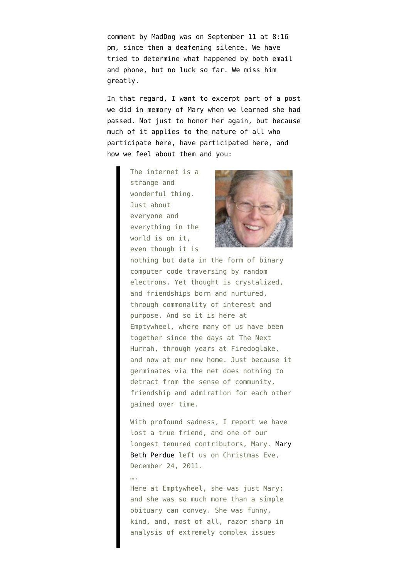[comment by MadDog](http://www.emptywheel.net/2012/09/11/bittersweet-justice-for-bradley-birkenfeld/#comment-404305) was on September 11 at 8:16 pm, since then a deafening silence. We have tried to determine what happened by both email and phone, but no luck so far. We miss him greatly.

In that regard, I want to excerpt part of a post we did in [memory of Mary](http://www.emptywheel.net/2012/02/06/in-memoriam-mary-beth-perdue/) when we learned she had passed. Not just to honor her again, but because much of it applies to the nature of all who participate here, have participated here, and how we feel about them and you:

> The internet is a strange and wonderful thing. Just about everyone and everything in the world is on it, even though it is



nothing but data in the form of binary computer code traversing by random electrons. Yet thought is crystalized, and friendships born and nurtured, through commonality of interest and purpose. And so it is here at Emptywheel, where many of us have been together since the days at The Next Hurrah, through years at Firedoglake, and now at our new home. Just because it germinates via the net does nothing to detract from the sense of community, friendship and admiration for each other gained over time.

With profound sadness, I report we have lost a true friend, and one of our longest tenured contributors, Mary. [Mary](http://obit.ziemerfuneralhome.com/obitdisplay.html?id=1006662) [Beth Perdue](http://obit.ziemerfuneralhome.com/obitdisplay.html?id=1006662) left us on Christmas Eve, December 24, 2011.

Here at Emptywheel, she was just Mary; and she was so much more than a simple obituary can convey. She was funny, kind, and, most of all, razor sharp in analysis of extremely complex issues

….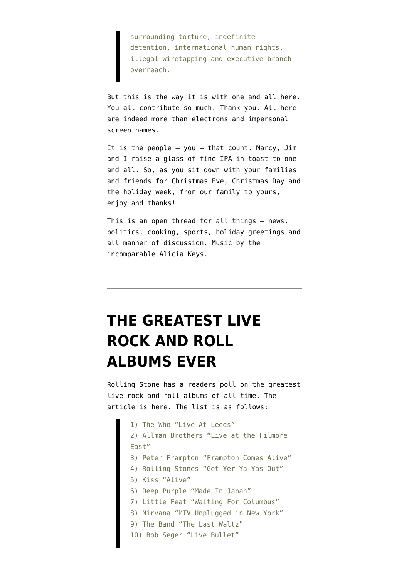surrounding torture, indefinite detention, international human rights, illegal wiretapping and executive branch overreach.

But this is the way it is with one and all here. You all contribute so much. Thank you. All here are indeed more than electrons and impersonal screen names.

It is the people – you – that count. Marcy, Jim and I raise a glass of fine IPA in toast to one and all. So, as you sit down with your families and friends for Christmas Eve, Christmas Day and the holiday week, from our family to yours, enjoy and thanks!

This is an open thread for all things – news, politics, cooking, sports, holiday greetings and all manner of discussion. Music by the incomparable Alicia Keys.

# **[THE GREATEST LIVE](https://www.emptywheel.net/2012/11/23/the-greatest-live-rock-and-roll-albums-ever/) [ROCK AND ROLL](https://www.emptywheel.net/2012/11/23/the-greatest-live-rock-and-roll-albums-ever/) [ALBUMS EVER](https://www.emptywheel.net/2012/11/23/the-greatest-live-rock-and-roll-albums-ever/)**

Rolling Stone has a readers poll on the greatest live rock and roll albums of all time. The [article is here.](http://www.rollingstone.com/music/pictures/readers-poll-the-10-best-live-albums-of-all-time-20121121) The list is as follows:

1) The Who "Live At Leeds" 2) Allman Brothers "Live at the Filmore East" 3) Peter Frampton "Frampton Comes Alive" 4) Rolling Stones "Get Yer Ya Yas Out" 5) Kiss "Alive" 6) Deep Purple "Made In Japan" 7) Little Feat "Waiting For Columbus" 8) Nirvana "MTV Unplugged in New York" 9) The Band "The Last Waltz" 10) Bob Seger "Live Bullet"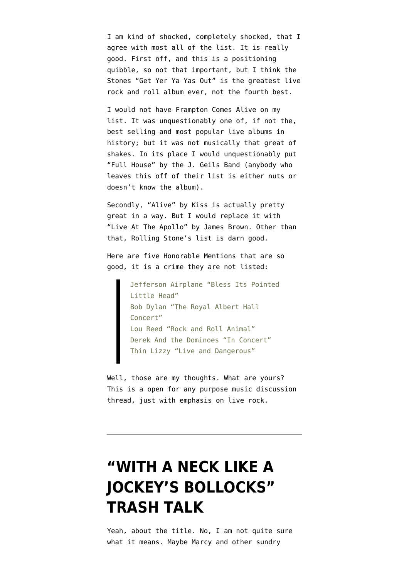I am kind of shocked, completely shocked, that I agree with most all of the list. It is really good. First off, and this is a positioning quibble, so not that important, but I think the Stones "Get Yer Ya Yas Out" is the greatest live rock and roll album ever, not the fourth best.

I would not have Frampton Comes Alive on my list. It was unquestionably one of, if not the, best selling and most popular live albums in history; but it was not musically that great of shakes. In its place I would unquestionably put "Full House" by the J. Geils Band (anybody who leaves this off of their list is either nuts or doesn't know the album).

Secondly, "Alive" by Kiss is actually pretty great in a way. But I would replace it with "Live At The Apollo" by James Brown. Other than that, Rolling Stone's list is darn good.

Here are five Honorable Mentions that are so good, it is a crime they are not listed:

> Jefferson Airplane "Bless Its Pointed Little Head" Bob Dylan "The Royal Albert Hall Concert" Lou Reed "Rock and Roll Animal" Derek And the Dominoes "In Concert" Thin Lizzy "Live and Dangerous"

Well, those are my thoughts. What are yours? This is a open for any purpose music discussion thread, just with emphasis on live rock.

# **["WITH A NECK LIKE A](https://www.emptywheel.net/2012/08/25/with-a-neck-like-a-jockeys-bollocks-trash-talk/) [JOCKEY'S BOLLOCKS"](https://www.emptywheel.net/2012/08/25/with-a-neck-like-a-jockeys-bollocks-trash-talk/) [TRASH TALK](https://www.emptywheel.net/2012/08/25/with-a-neck-like-a-jockeys-bollocks-trash-talk/)**

Yeah, about the title. No, I am not quite sure [what it means](http://www.d1020599.cp.blacknight.com/slang.ie/index.php?county=all&entry=neck+like+a+jockey). Maybe Marcy and other sundry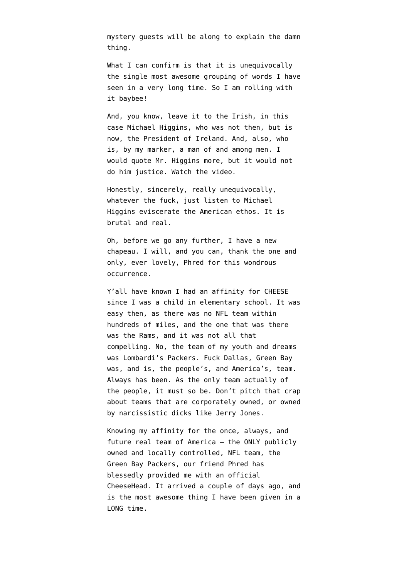mystery guests will be along to explain [the damn](https://twitter.com/emptywheel/status/238839764118302720) [thing.](https://twitter.com/emptywheel/status/238839764118302720)

What I can confirm is that it is unequivocally the single most awesome grouping of words I have seen in a very long time. So I am rolling with it baybee!

And, you know, leave it to the Irish, in this case Michael Higgins, who was not then, but is now, the President of Ireland. And, also, who is, by my marker, a man of and among men. I would quote Mr. Higgins more, but it would not do him justice. Watch the video.

Honestly, sincerely, really unequivocally, whatever the fuck, just listen to Michael Higgins eviscerate the American ethos. It is brutal and real.

Oh, before we go any further, I have a new chapeau. I will, and you can, thank the one and only, ever lovely, Phred for this wondrous occurrence.

Y'all have known I had an affinity for CHEESE since I was a child in elementary school. It was easy then, as there was no NFL team within hundreds of miles, and the one that was there was the Rams, and it was not all that compelling. No, the team of my youth and dreams was Lombardi's Packers. Fuck Dallas, Green Bay was, and is, the people's, and America's, team. Always has been. As the only team actually of the people, it must so be. Don't pitch that crap about teams that are corporately owned, or owned by narcissistic dicks like Jerry Jones.

Knowing my affinity for the once, always, and future real team of America – the ONLY publicly owned and locally controlled, NFL team, the Green Bay Packers, our friend Phred has blessedly provided me with an official CheeseHead. It arrived a couple of days ago, and is the most awesome thing I have been given in a LONG time.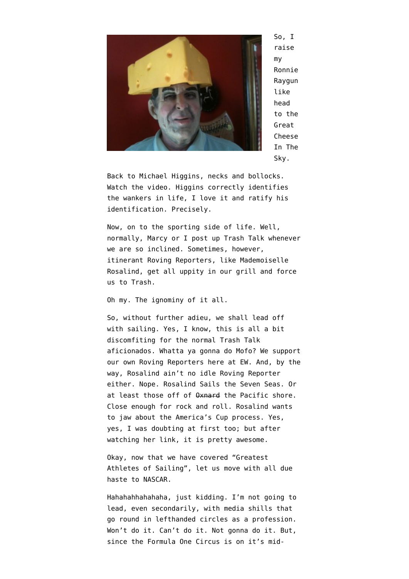

So, I raise my Ronnie Raygun like head to the Great Cheese In The Sky.

Back to Michael Higgins, necks and bollocks. Watch the video. Higgins correctly identifies the wankers in life, I love it and ratify his identification. Precisely.

Now, on to the sporting side of life. Well, normally, Marcy or I post up Trash Talk whenever we are so inclined. Sometimes, however, itinerant [Roving Reporters,](http://www.emptywheel.net/2010/10/01/trash-talk-the-race-is-on-for-zenyatta/) like [Mademoiselle](https://twitter.com/laRosalind/status/238744175519072257) [Rosalind,](https://twitter.com/laRosalind/status/238744175519072257) get all uppity in our grill and force us to Trash.

Oh my. The ignominy of it all.

So, without further adieu, we shall lead off with sailing. Yes, I know, this is all a bit discomfiting for the normal Trash Talk aficionados. Whatta ya gonna do Mofo? We support our own Roving Reporters here at EW. And, by the way, Rosalind ain't no idle Roving Reporter either. Nope. [Rosalind Sails the Seven Seas](http://schoonerzodiac.com/). Or at least those off of  $\theta x$ nard the Pacific shore. Close enough for rock and roll. Rosalind wants to jaw about the America's Cup process. Yes, yes, I was doubting at first too; but [after](http://www.youtube.com/watch?v=VndIuL_NlJY&feature=plcp&newstate=dd6f5ad58d8a0c3864dc7d6277605230) [watching her link,](http://www.youtube.com/watch?v=VndIuL_NlJY&feature=plcp&newstate=dd6f5ad58d8a0c3864dc7d6277605230) it is pretty awesome.

Okay, now that we have covered "Greatest Athletes of Sailing", let us move with all due haste to NASCAR.

Hahahahhahahaha, just kidding. I'm not going to lead, even secondarily, with media shills that go round in lefthanded circles as a profession. Won't do it. Can't do it. Not gonna do it. But, since the Formula One Circus is on it's mid-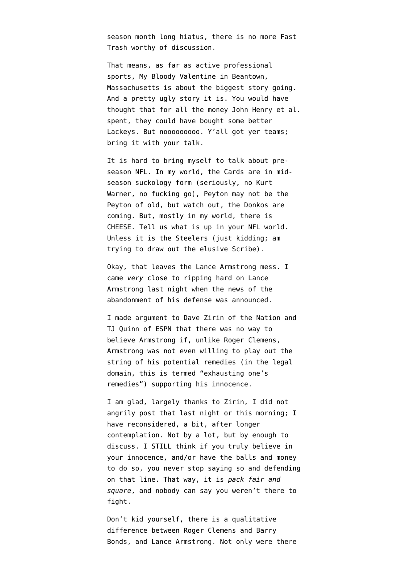season month long hiatus, there is no more Fast Trash worthy of discussion.

That means, as far as active professional sports, My Bloody Valentine in Beantown, Massachusetts is about the biggest story going. And a pretty ugly story it is. You would have thought that for all the money John Henry et al. spent, they could have bought some better Lackeys. But nooooooooo. Y'all got yer teams; bring it with your talk.

It is hard to bring myself to talk about preseason NFL. In my world, the Cards are in midseason suckology form (seriously, no Kurt Warner, no fucking go), Peyton may not be the Peyton of old, but watch out, the Donkos are coming. But, mostly in my world, there is CHEESE. Tell us what is up in your NFL world. Unless it is the Steelers (just kidding; am trying to draw out the elusive Scribe).

Okay, that leaves the Lance Armstrong mess. I came *very* close to ripping hard on Lance Armstrong last night when the news of the abandonment of his defense was announced.

I made argument to [Dave Zirin of the Nation](https://twitter.com/bmaz/status/238825104589590528) and [TJ Quinn of ESPN](https://twitter.com/bmaz/status/238837683286327296) that there was no way to believe Armstrong if, unlike Roger Clemens, Armstrong was not even willing to play out the string of his potential remedies (in the legal domain, this is termed "exhausting one's remedies") supporting his innocence.

I am glad, [largely thanks to Zirin](http://www.thenation.com/blog/169541/lance-armstrong-will-be-stripped-all-his-titles-not-his-fans#), I did not angrily post that last night or this morning; I have reconsidered, a bit, after longer contemplation. Not by a lot, but by enough to discuss. I STILL think if you truly believe in your innocence, and/or have the balls and money to do so, you never stop saying so and defending on that line. That way, it is *pack fair and square*, and nobody can say you weren't there to fight.

Don't kid yourself, there is a qualitative difference between Roger Clemens and Barry Bonds, and Lance Armstrong. Not only were there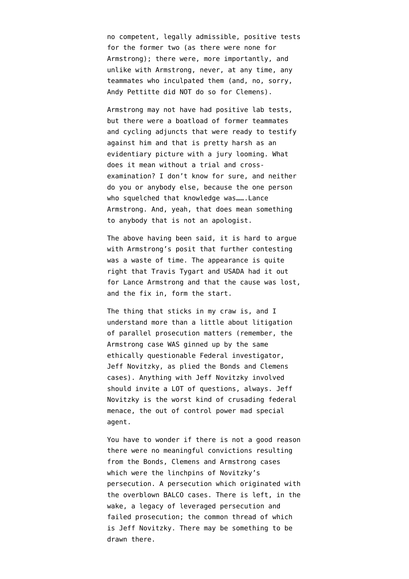no competent, legally admissible, positive tests for the former two (as there were none for Armstrong); there were, more importantly, and unlike with Armstrong, never, at any time, any teammates who inculpated them (and, no, sorry, Andy Pettitte did NOT do so for Clemens).

Armstrong may not have had positive lab tests, but there were a boatload of former teammates and cycling adjuncts that were ready to testify against him and that is pretty harsh as an evidentiary picture with a jury looming. What does it mean without a trial and crossexamination? I don't know for sure, and neither do you or anybody else, because the one person who squelched that knowledge was…….Lance Armstrong. And, yeah, that does mean something to anybody that is not an apologist.

The above having been said, it is hard to argue with Armstrong's posit that [further contesting](http://nbcsports.msnbc.com/id/48773712/ns/sports-cycling/?__utma=14933801.1785501418.1344884681.1345704874.1345812084.23&__utmb=14933801.1.10.1345812084&__utmc=14933801&__utmx=-&__utmz=14933801.1345140257.12.3.utmcsr=t.co%7Cutmccn=(referral)%7Cutmcmd=referral%7Cutmcct=/ESxd00Sv&__utmv=14933801.%7C8=Earned%20By=msnbc%7Ccover=1%5E12=Landing%20Content=Mixed=1%5E13=Landing%20Hostname=www.nbcnews.com=1%5E30=Visit%20Type%20to%20Content=Earned%20to%20Mixed=1&__utmk=253795976) [was a waste of time](http://nbcsports.msnbc.com/id/48773712/ns/sports-cycling/?__utma=14933801.1785501418.1344884681.1345704874.1345812084.23&__utmb=14933801.1.10.1345812084&__utmc=14933801&__utmx=-&__utmz=14933801.1345140257.12.3.utmcsr=t.co%7Cutmccn=(referral)%7Cutmcmd=referral%7Cutmcct=/ESxd00Sv&__utmv=14933801.%7C8=Earned%20By=msnbc%7Ccover=1%5E12=Landing%20Content=Mixed=1%5E13=Landing%20Hostname=www.nbcnews.com=1%5E30=Visit%20Type%20to%20Content=Earned%20to%20Mixed=1&__utmk=253795976). The appearance is quite right that Travis Tygart and USADA had it out for Lance Armstrong and that the cause was lost, and the fix in, form the start.

The thing that sticks in my craw is, and I understand more than a little about litigation of parallel prosecution matters (remember, the Armstrong case WAS ginned up by the same ethically questionable Federal investigator, Jeff Novitzky, as plied the Bonds and Clemens cases). Anything with Jeff Novitzky involved should invite a LOT of questions, always. [Jeff](http://www.cyclingnews.com/features/lance-armstrongs-new-nemesis-federal-agent-jeff-novitzky) [Novitzky is the worst kind of crusading federal](http://www.cyclingnews.com/features/lance-armstrongs-new-nemesis-federal-agent-jeff-novitzky) [menace](http://www.cyclingnews.com/features/lance-armstrongs-new-nemesis-federal-agent-jeff-novitzky), the out of control power mad special agent.

You have to wonder if there is not a good reason there were no meaningful convictions resulting from the Bonds, Clemens and Armstrong cases which were the linchpins of Novitzky's persecution. A persecution which originated with the overblown BALCO cases. There is left, in the wake, a legacy of leveraged persecution and failed prosecution; the common thread of which is Jeff Novitzky. There may be something to be drawn there.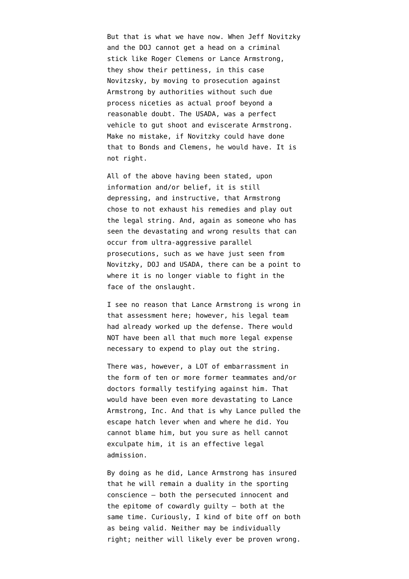But that is what we have now. When Jeff Novitzky and the DOJ cannot get a head on a criminal stick like Roger Clemens or Lance Armstrong, they show their pettiness, in this case Novitzsky, by moving to prosecution against Armstrong by authorities without such due process niceties as actual proof beyond a reasonable doubt. The USADA, was a perfect vehicle to gut shoot and eviscerate Armstrong. Make no mistake, if Novitzky could have done that to Bonds and Clemens, he would have. It is not right.

All of the above having been stated, upon information and/or belief, it is still depressing, and instructive, that Armstrong chose to not exhaust his remedies and play out the legal string. And, again as someone who has seen the devastating and wrong results that can occur from ultra-aggressive parallel prosecutions, such as we have just seen from Novitzky, DOJ and USADA, there can be a point to where it is no longer viable to fight in the face of the onslaught.

I see no reason that Lance Armstrong is wrong in that assessment here; however, his legal team had already worked up the defense. There would NOT have been all that much more legal expense necessary to expend to play out the string.

There was, however, a LOT of embarrassment in the form of ten or more former teammates and/or doctors formally testifying against him. That would have been even more devastating to Lance Armstrong, Inc. And that is why Lance pulled the escape hatch lever when and where he did. You cannot blame him, but you sure as hell cannot exculpate him, it is an effective legal admission.

By doing as he did, Lance Armstrong has insured that he will remain a duality in the sporting conscience – both the persecuted innocent and the epitome of cowardly guilty – both at the same time. Curiously, I kind of bite off on both as being valid. Neither may be individually right; neither will likely ever be proven wrong.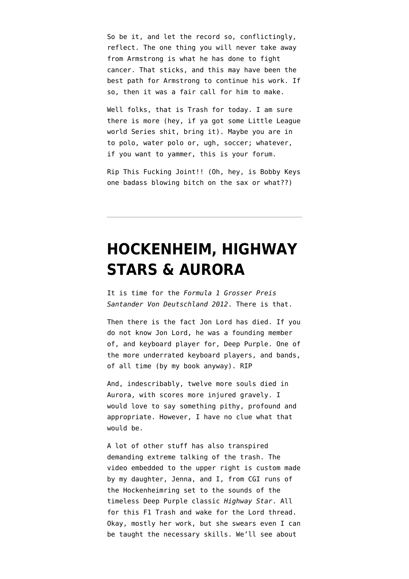So be it, and let the record so, conflictingly, reflect. The one thing you will never take away from Armstrong is what he has done to fight cancer. That sticks, and this may have been the best path for Armstrong to continue his work. If so, then it was a fair call for him to make.

Well folks, that is Trash for today. I am sure there is more (hey, if ya got some Little League world Series shit, bring it). Maybe you are in to polo, water polo or, ugh, soccer; whatever, if you want to yammer, this is your forum.

Rip This Fucking Joint!! (Oh, hey, is Bobby Keys one badass blowing bitch on the sax or what??)

#### **[HOCKENHEIM, HIGHWAY](https://www.emptywheel.net/2012/07/21/hockenheim-highway-stars-aurora/) [STARS & AURORA](https://www.emptywheel.net/2012/07/21/hockenheim-highway-stars-aurora/)**

It is time for the *Formula 1 Grosser Preis Santander Von Deutschland 2012*. There is that.

Then there is the fact Jon Lord [has died.](http://www.guardian.co.uk/music/2012/jul/16/jon-lord) If you do not know Jon Lord, he was a founding member of, and keyboard player for, Deep Purple. One of the more underrated keyboard players, and bands, of all time (by my book anyway). RIP

And, indescribably, twelve more souls died in Aurora, with scores more injured gravely. I would love to say something pithy, profound and appropriate. However, I have no clue what that would be.

A lot of other stuff has also transpired demanding extreme talking of the trash. The video embedded to the upper right is custom made by my daughter, Jenna, and I, from CGI runs of the Hockenheimring set to the sounds of the timeless Deep Purple classic *Highway Star*. All for this F1 Trash and wake for the Lord thread. Okay, mostly her work, but she swears even I can be taught the necessary skills. We'll see about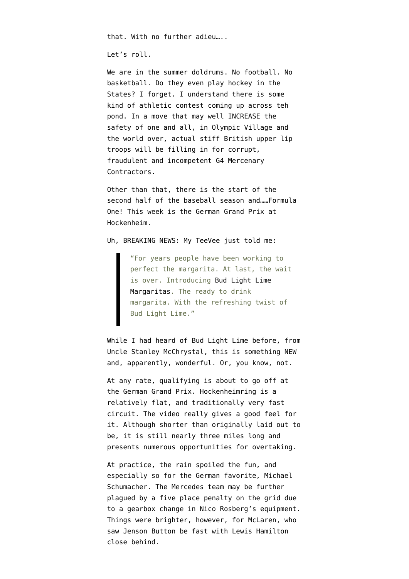that. With no further adieu…..

Let's roll.

We are in the summer doldrums. [No football](http://network.yardbarker.com/nfl/article_external/video_larry_fitzgerald_thinks_calvin_johnson_is_a_better_fantasy_wr_option/11247694?linksrc=foxrg_home). No basketball. Do they even play hockey in the States? I forget. I understand there is some kind of athletic contest coming up across teh pond. In a move that may well INCREASE the safety of one and all, in Olympic Village and the world over, actual stiff British upper lip troops will be filling in for [corrupt,](http://www.independent.co.uk/news/business/news/pressure-mounting-on-g4-boss-buckles-to-resign-7945493.html) [fraudulent and incompetent G4 Mercenary](http://www.independent.co.uk/news/business/news/pressure-mounting-on-g4-boss-buckles-to-resign-7945493.html) [Contractors](http://www.independent.co.uk/news/business/news/pressure-mounting-on-g4-boss-buckles-to-resign-7945493.html).

Other than that, there is the start of the second half of the baseball season and……Formula One! This week is the German Grand Prix at Hockenheim.

Uh, BREAKING NEWS: My TeeVee just told me:

"For years people have been working to perfect the margarita. At last, the wait is over. Introducing [Bud Light Lime](http://www.huffingtonpost.com/2012/04/27/bud-light-lime-a-rita_n_1460095.html) [Margaritas](http://www.huffingtonpost.com/2012/04/27/bud-light-lime-a-rita_n_1460095.html). The ready to drink margarita. With the refreshing twist of Bud Light Lime."

While I had [heard of Bud Light Lime before](http://www.rollingstone.com/politics/news/the-runaway-general-20100622?print=true), from Uncle [Stanley McChrystal,](http://www.emptywheel.net/2010/06/25/the-wapos-very-funny-idea-of-source-protection/) this is something NEW and, apparently, wonderful. Or, you know, not.

At any rate, qualifying is about to go off at the German Grand Prix. Hockenheimring is a relatively flat, and [traditionally very fast](http://www.formula1.com/races/in_detail/germany_873/circuit_diagram.html) [circuit.](http://www.formula1.com/races/in_detail/germany_873/circuit_diagram.html) The video really gives a good feel for it. Although shorter than [originally laid out to](http://en.wikipedia.org/wiki/Hockenheimring) [be,](http://en.wikipedia.org/wiki/Hockenheimring) it is still nearly three miles long and presents numerous opportunities for overtaking.

At practice, the rain spoiled the fun, and [especially so for the German favorite](http://www.telegraph.co.uk/sport/motorsport/formulaone/mercedes/9416060/German-Grand-Prix-2012-Michael-Schumacher-sent-spinning-as-Mercedes-suffer-water-torture.html), Michael Schumacher. The Mercedes team may be further plagued by a five place penalty on the grid due to a gearbox change in Nico Rosberg's equipment. Things were brighter, however, for McLaren, who saw Jenson Button be fast with Lewis Hamilton close behind.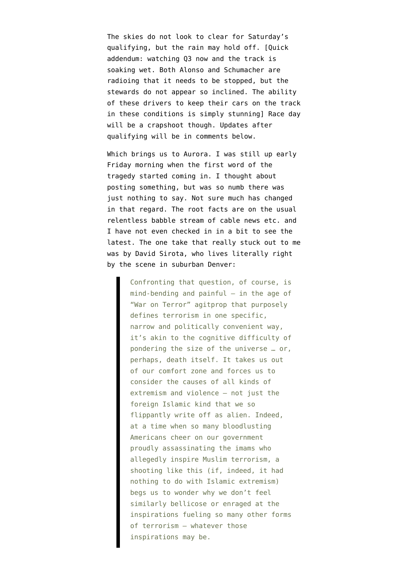The skies do not look to clear for Saturday's qualifying, but the rain may hold off. [Quick addendum: watching Q3 now and the track is soaking wet. Both Alonso and Schumacher are radioing that it needs to be stopped, but the stewards do not appear so inclined. The ability of these drivers to keep their cars on the track in these conditions is simply stunning] Race day will be a crapshoot though. Updates after qualifying will be in comments below.

Which brings us to Aurora. I was still up early Friday morning when the first word of the tragedy started coming in. I thought about posting something, but was so numb there was just nothing to say. Not sure much has changed in that regard. The root facts are on the usual relentless babble stream of cable news etc. and I have not even checked in in a bit to see the latest. The one take that really stuck out to me was by [David Sirota](http://www.salon.com/2012/07/20/call_it_terrorism/), who lives literally right by the scene in suburban Denver:

> Confronting that question, of course, is  $mind$ -bending and painful  $-$  in the age of "War on Terror" agitprop that purposely defines terrorism in one specific, narrow and politically convenient way, it's akin to the cognitive difficulty of pondering the size of the universe … or, perhaps, death itself. It takes us out of our comfort zone and forces us to consider the causes of all kinds of extremism and violence — not just the foreign Islamic kind that we so flippantly write off as alien. Indeed, at a time when so many bloodlusting Americans cheer on our government proudly assassinating the imams who allegedly inspire Muslim terrorism, a shooting like this (if, indeed, it had nothing to do with Islamic extremism) begs us to wonder why we don't feel similarly bellicose or enraged at the inspirations fueling so many other forms of terrorism — whatever those inspirations may be.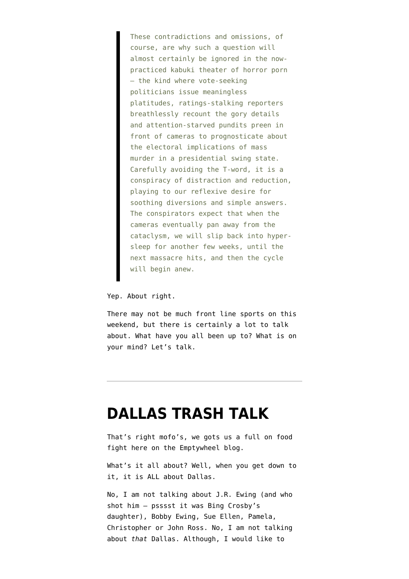These contradictions and omissions, of course, are why such a question will almost certainly be ignored in the nowpracticed kabuki theater of horror porn — the kind where vote-seeking politicians issue meaningless platitudes, ratings-stalking reporters breathlessly recount the gory details and attention-starved pundits preen in front of cameras to prognosticate about the electoral implications of mass murder in a presidential swing state. Carefully avoiding the T-word, it is a conspiracy of distraction and reduction, playing to our reflexive desire for soothing diversions and simple answers. The conspirators expect that when the cameras eventually pan away from the cataclysm, we will slip back into hypersleep for another few weeks, until the next massacre hits, and then the cycle will begin anew.

Yep. About right.

There may not be much front line sports on this weekend, but there is certainly a lot to talk about. What have you all been up to? What is on your mind? Let's talk.

#### **[DALLAS TRASH TALK](https://www.emptywheel.net/2012/05/24/dallas-trash-talk/)**

That's right mofo's, we gots us a full on food fight here on the Emptywheel blog.

What's it all about? Well, when you get down to it, it is ALL about Dallas.

No, I am not talking about J.R. Ewing (and who shot him – psssst it was [Bing Crosby's](http://en.wikipedia.org/wiki/Who_shot_J._R.%3F) [daughter\)](http://en.wikipedia.org/wiki/Who_shot_J._R.%3F), Bobby Ewing, Sue Ellen, Pamela, Christopher or John Ross. No, I am not talking about *that* Dallas. Although, I would like to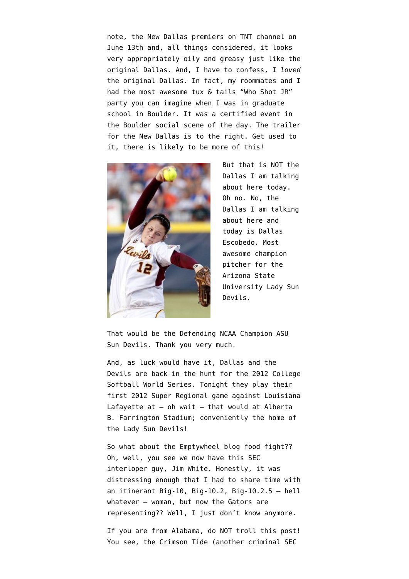note, the New Dallas premiers on TNT channel on June 13th and, all things considered, it looks very appropriately oily and greasy just like the original Dallas. And, I have to confess, I *loved* the original Dallas. In fact, my roommates and I had the most awesome tux & tails "Who Shot JR" party you can imagine when I was in graduate school in Boulder. It was a certified event in the Boulder social scene of the day. The trailer for the New Dallas is to the right. Get used to it, there is likely to be more of this!



But that is NOT the Dallas I am talking about here today. Oh no. No, the Dallas I am talking about here and today is Dallas Escobedo. Most awesome champion pitcher for the Arizona State University Lady Sun Devils.

That would be the [Defending NCAA Champion ASU](http://www.statepress.com/2011/06/07/sun-devil-softball-claims-2011-national-championship-2/) [Sun Devils.](http://www.statepress.com/2011/06/07/sun-devil-softball-claims-2011-national-championship-2/) Thank you very much.

And, as luck would have it, Dallas and the Devils are back in the hunt for the 2012 College Softball World Series. Tonight they play their first 2012 Super Regional game against Louisiana Lafayette at  $-$  oh wait  $-$  that would at [Alberta](http://www.asu.edu/tour/tempe/alber.html) [B. Farrington Stadium](http://www.asu.edu/tour/tempe/alber.html); conveniently the home of the Lady Sun Devils!

So what about the Emptywheel blog food fight?? Oh, well, you see we now have this SEC interloper guy, Jim White. Honestly, it was distressing enough that I had to share time with an itinerant Big-10, Big-10.2, Big-10.2.5 – hell whatever – woman, but now the Gators are representing?? Well, I just don't know anymore.

If you are from Alabama, do NOT troll this post! You see, the Crimson Tide (another criminal SEC